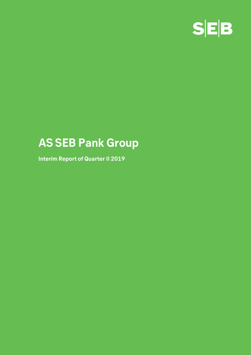

# **AS SEB Pank Group**

**Interim Report of Quarter II 2019**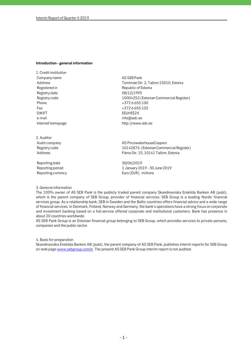#### **Introduction - general information**

1. Credit institution Company name and a set of the AS SEB Pank Registered in Republic of Estonia Registry date 08/12/1995 Phone  $+3726655100$ Fax  $+3726655102$ SWIFT EEUHEE2X e-mail info@seb.ee

2. Auditor

Reporting date 30/06/2019

Address Tornimäe Str. 2, Tallinn 15010, Estonia Registry code 10004252 (Estonian Commercial Register) Internet homepage http://www.seb.ee

Audit company and a series are a series of AS PricewaterhouseCoopers Registry code 10142876 (Estonian Commercial Register) Address Pärnu Str. 15, 10141 Tallinn, Estonia

Reporting period **1 January 2019** - 30 June 2019 Reporting currency **EUR**), millions

#### 3. General information

The 100% owner of AS SEB Pank is the publicly traded parent company Skandinaviska Enskilda Banken AB (publ), which is the parent company of SEB Group, provider of financial services. SEB Group is a leading Nordic financial services group. As a relationship bank, SEB in Sweden and the Baltic countries offers financial advice and a wide range of financial services. In Denmark, Finland, Norway and Germany, the bank's operations have a strong focus on corporate and investment banking based on a full-service offered corporate and institutional customers. Bank has presence in about 20 countries worldwide.

AS SEB Pank Group is an Estonian financial group belonging to SEB Group, which provides services to private persons, companies and the public sector.

4. Basis for preparation

Skandinaviska Enskilda Banken AB (publ), the parent company of AS SEB Pank, publishes interim reports for SEB Group on web page www.sebgroup.com/ir. The present AS SEB Pank Group interim report is not audited.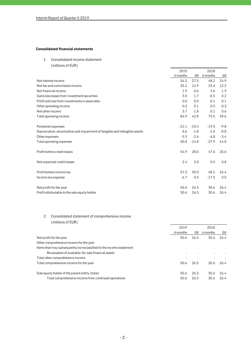## **Consolidated financial statements**

1. Consolidated income statement

(millions of EUR)

|                                                                             | 2019     |         | 2018     |         |
|-----------------------------------------------------------------------------|----------|---------|----------|---------|
|                                                                             | 6 months | QII     | 6 months | QII     |
| Net interest income                                                         | 54.2     | 27.5    | 48.2     | 24.9    |
| Net fee and commission income                                               | 25.1     | 12.9    | 23.6     | 12.2    |
| Net financial income                                                        | 1.9      | 0.6     | 3.6      | 1.9     |
| Gains less losses from investment securities                                | 3.5      | 1.7     | $-0.5$   | 0.2     |
| Profit and loss from investments in associates                              | 0.0      | 0.0     | 0.1      | 0.1     |
| Other operating income                                                      | 0.2      | 0.1     | 0.5      | 0.3     |
| Net other income                                                            | 3.7      | 1.8     | 0.1      | 0.6     |
| Total operating income                                                      | 84.9     | 42.8    | 75.5     | 39.6    |
| Personnel expenses                                                          | $-21.1$  | $-10.4$ | $-19.5$  | $-9.8$  |
| Depreciation, amortization and impairment of tangible and intangible assets | $-3.6$   | $-1.8$  | $-1.6$   | $-0.8$  |
| Other expenses                                                              | $-5.3$   | $-2.6$  | $-6.8$   | $-3.4$  |
| Total operating expenses                                                    | $-30.0$  | $-14.8$ | $-27.9$  | $-14.0$ |
| Profit before credit losses                                                 | 54.9     | 28.0    | 47.6     | 25.6    |
| Net expected credit losses                                                  | 2.4      | 2.0     | 0.5      | 0.8     |
| Profit before income tax                                                    | 57.3     | 30.0    | 48.1     | 26.4    |
| Income tax expense                                                          | $-6.7$   | $-3.5$  | $-17.5$  | 0.0     |
| Net profit for the year                                                     | 50.6     | 26.5    | 30.6     | 26.4    |
| Profit attributable to the sole equity holder                               | 50.6     | 26.5    | 30.6     | 26.4    |

## 2. Consolidated statement of comprehensive income (millions of EUR)

|                                                                      | 2019<br>2018 |      |          |      |
|----------------------------------------------------------------------|--------------|------|----------|------|
|                                                                      | 6 months     | QII  | 6 months | QII  |
| Net profit for the year                                              | 50.6         | 26.5 | 30.6     | 26.4 |
| Other comprehensive income for the year                              |              |      |          |      |
| Items that may subsequently be reclassified to the income statement: |              |      |          |      |
| Revaluation of available-for-sale financial assets                   |              |      |          |      |
| Total other comprehensive income                                     |              |      |          |      |
| Total comprehensive income for the year                              | 50.6         | 26.5 | 30.6     | 26.4 |
|                                                                      |              |      |          |      |
| Sole equity holder of the parent entity (total)                      | 50.6         | 26.5 | 30.6     | 26.4 |
| Total comprehensive income from continued operations                 | 50.6         | 26.5 | 30.6     | 26.4 |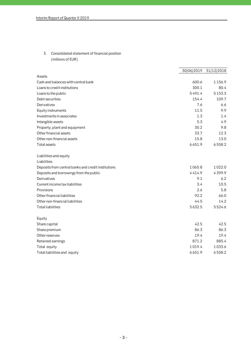3. Consolidated statement of financial position (millions of EUR)

|                                                     | 30/06/2019 | 31/12/2018 |
|-----------------------------------------------------|------------|------------|
| Assets                                              |            |            |
| Cash and balances with central bank                 | 600.6      | 1156.9     |
| Loans to credit institutions                        | 300.1      | 80.4       |
| Loans to the public                                 | 5491.4     | 5153.3     |
| Debt securities                                     | 154.4      | 109.7      |
| Derivatives                                         | 7.6        | 6.6        |
| Equity instruments                                  | 11.5       | 9.9        |
| Investments in associates                           | 1.3        | 1.4        |
| Intangible assets                                   | 5.3        | 4.9        |
| Property, plant and equipment                       | 30.2       | 9.8        |
| Other financial assets                              | 33.7       | 12.3       |
| Other non-financial assets                          | 15.8       | 13.0       |
| Total assets                                        | 6651.9     | 6558.2     |
| Liabilities and equity                              |            |            |
| Liabilities                                         |            |            |
| Deposits from central banks and credit institutions | 1065.8     | 1022.0     |
| Deposits and borrowings from the public             | 4414.9     | 4399.9     |
| Derivatives                                         | 9.1        | 6.2        |
| Current income tax liabilities                      | 3.4        | 10.5       |
| Provisions                                          | 2.6        | 5.8        |
| Other financial liabilities                         | 92.2       | 66.0       |
| Other non-financial liabilities                     | 44.5       | 14.2       |
| <b>Total liabilities</b>                            | 5632.5     | 5524.6     |
| Equity                                              |            |            |
| Share capital                                       | 42.5       | 42.5       |
| Share premium                                       | 86.3       | 86.3       |
| Other reserves                                      | 19.4       | 19.4       |
| Retained earnings                                   | 871.2      | 885.4      |
| Total equity                                        | 1019.4     | 1033.6     |
| Total liabilities and equity                        | 6651.9     | 6558.2     |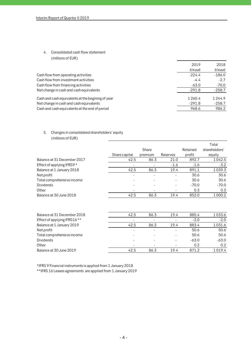## 4. Consolidated cash flow statement

(millions of EUR)

|                                                   | 2019     | 2018     |
|---------------------------------------------------|----------|----------|
|                                                   | 6 kuud   | 6 kuud   |
| Cash flow from operating activities               | $-224.4$ | $-186.0$ |
| Cash flow from investment activities              | $-4.4$   | $-2.7$   |
| Cash flow from financing activities               | $-63.0$  | $-70.0$  |
| Net change in cash and cash equivalents           | $-291.8$ | $-258.7$ |
| Cash and cash equivalents at the beginnig of year | 1260.4   | 1244.9   |
| Net change in cash and cash equivalents           | -291.8   | $-258.7$ |
| Cash and cash equivalents at the end of period    | 968.6    | 986.2    |
|                                                   |          |          |

## 5. Changes in consolidated shareholders' equity (millions of EUR)

|                              |               |         |          |          | Total         |
|------------------------------|---------------|---------|----------|----------|---------------|
|                              |               | Share   |          | Retained | shareholders' |
|                              | Share capital | premium | Reserves | profit   | equity        |
| Balance at 31 December 2017  | 42.5          | 86.3    | 21.0     | 892.7    | 1042.5        |
| Effect of applying IFRS9 *   |               |         | $-1.6$   | $-1.6$   | $-3.2$        |
| Balance at 1 January 2018    | 42.5          | 86.3    | 19.4     | 891.1    | 1039.3        |
| Net profit                   |               | ٠       |          | 30.6     | 30.6          |
| Total comprehensive income   |               |         |          | 30.6     | 30.6          |
| <b>Dividends</b>             |               |         |          | $-70.0$  | $-70.0$       |
| Other                        |               |         |          | 0.3      | 0.3           |
| Balance at 30 June 2018      | 42.5          | 86.3    | 19.4     | 852.0    | 1000.2        |
|                              |               |         |          |          |               |
| Balance at 31 December 2018  | 42.5          | 86.3    | 19.4     | 885.4    | 1033.6        |
| Effect of applying IFRS16 ** |               |         |          | $-2.0$   | $-2.0$        |
| Balance at 1 January 2019    | 42.5          | 86.3    | 19.4     | 883.4    | 1031.6        |
| Net profit                   |               |         |          | 50.6     | 50.6          |
| Total comprehensive income   |               |         |          | 50.6     | 50.6          |
| <b>Dividends</b>             |               |         |          | $-63.0$  | $-63.0$       |
| Other                        |               |         |          | 0.2      | 0.2           |
| Balance at 30 June 2019      | 42.5          | 86.3    | 19.4     | 871.2    | 1019.4        |

\*IFRS 9 Financial instruments is applied from 1 January 2018

\*\*IFRS 16 Leases agreements are applied from 1 January 2019